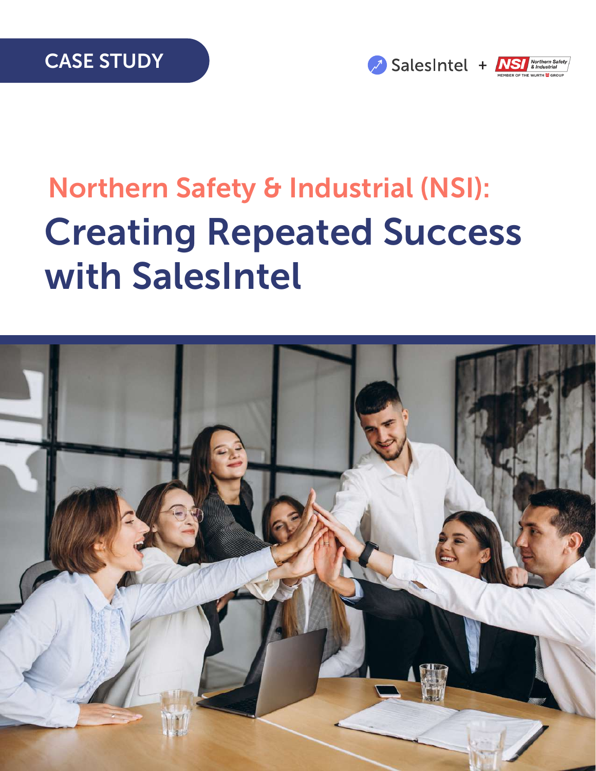



# Northern Safety & Industrial (NSI): Creating Repeated Success with SalesIntel

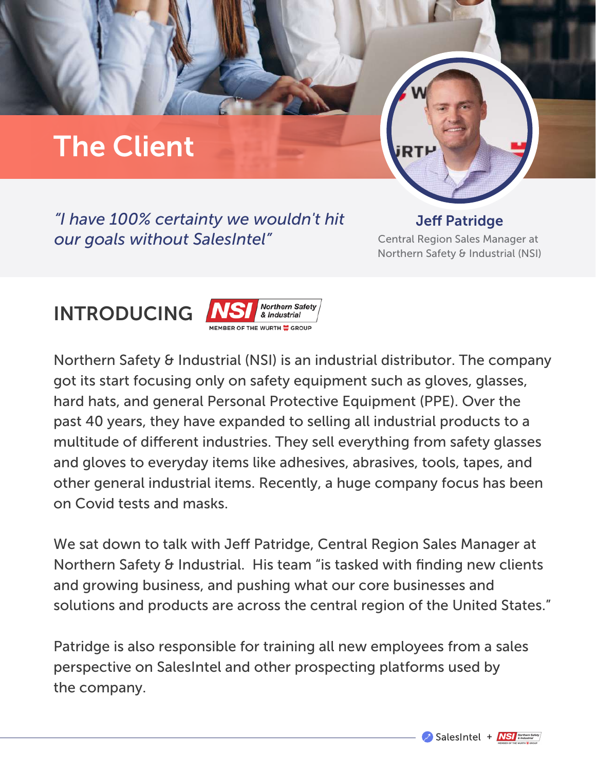## The Client

*"I have 100% certainty we wouldn't hit our goals without SalesIntel"*

**Jeff Patridge** Central Region Sales Manager at Northern Safety & Industrial (NSI)

#### INTRODUCING



Northern Safety & Industrial (NSI) is an industrial distributor. The company got its start focusing only on safety equipment such as gloves, glasses, hard hats, and general Personal Protective Equipment (PPE). Over the past 40 years, they have expanded to selling all industrial products to a multitude of different industries. They sell everything from safety glasses and gloves to everyday items like adhesives, abrasives, tools, tapes, and other general industrial items. Recently, a huge company focus has been on Covid tests and masks.

We sat down to talk with Jeff Patridge, Central Region Sales Manager at Northern Safety & Industrial. His team "is tasked with finding new clients and growing business, and pushing what our core businesses and solutions and products are across the central region of the United States."

Patridge is also responsible for training all new employees from a sales perspective on SalesIntel and other prospecting platforms used by the company.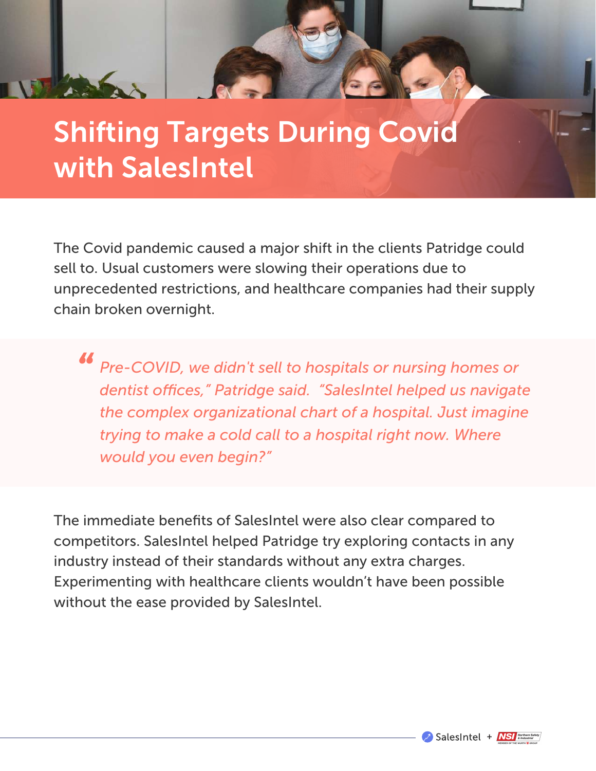#### Shifting Targets During Covid with SalesIntel

The Covid pandemic caused a major shift in the clients Patridge could sell to. Usual customers were slowing their operations due to unprecedented restrictions, and healthcare companies had their supply chain broken overnight.

*Pre-COVID, we didn't sell to hospitals or nursing homes or*  dentist offices," Patridge said. "SalesIntel helped us navigate *the complex organizational chart of a hospital. Just imagine trying to make a cold call to a hospital right now. Where would you even begin?" "*

The immediate benefits of SalesIntel were also clear compared to competitors. SalesIntel helped Patridge try exploring contacts in any industry instead of their standards without any extra charges. Experimenting with healthcare clients wouldn't have been possible without the ease provided by SalesIntel.

SalesIntel + NSI & Morthern Safety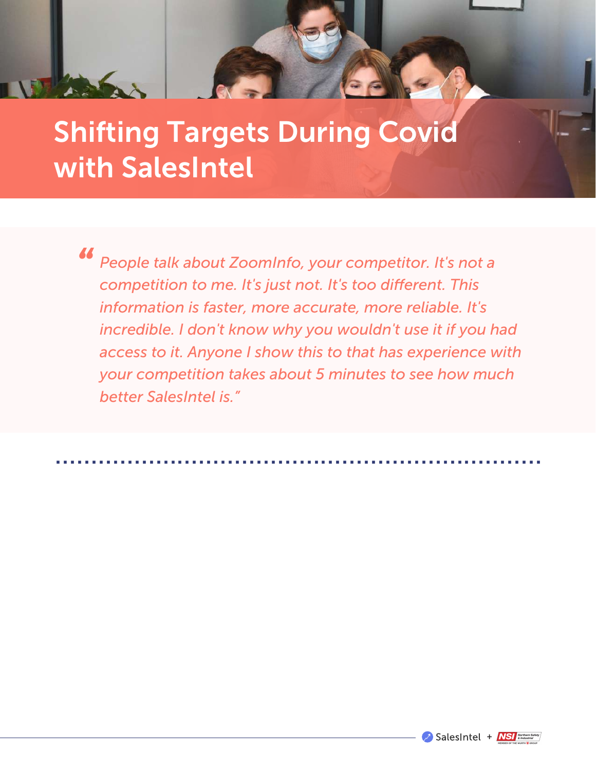#### Shifting Targets During Covid with SalesIntel

*People talk about ZoomInfo, your competitor. It's not a competition to me. It's just not. It's too different. This information is faster, more accurate, more reliable. It's incredible. I don't know why you wouldn't use it if you had access to it. Anyone I show this to that has experience with your competition takes about 5 minutes to see how much better SalesIntel is." "*

....................................................................

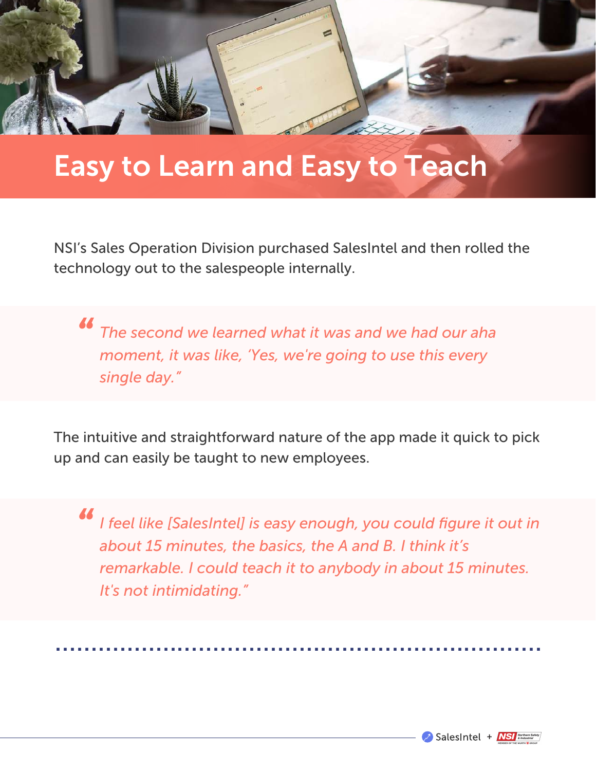#### Easy to Learn and Easy to Teach

NSI's Sales Operation Division purchased SalesIntel and then rolled the technology out to the salespeople internally.

*The second we learned what it was and we had our aha*<br>*moment, it was like, 'Yes, we're going to use this every moment, it was like, 'Yes, we're going to use this every single day."*

The intuitive and straightforward nature of the app made it quick to pick up and can easily be taught to new employees.

*I feel like [SalesIntel] is easy enough, you could figure it out in about 15 minutes, the basics, the A and B. I think it's remarkable. I could teach it to anybody in about 15 minutes. It's not intimidating." "*

....................................................................

SalesIntel + NSI References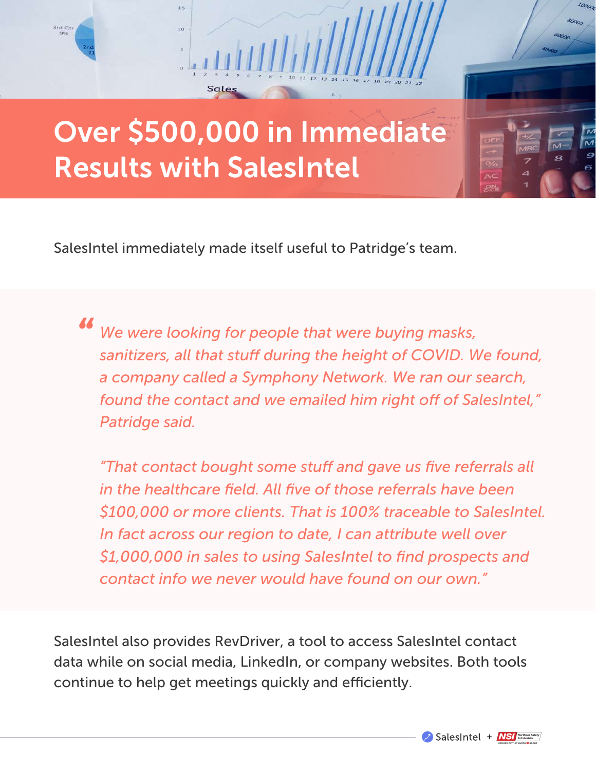

SalesIntel immediately made itself useful to Patridge's team.

*We were looking for people that were buying masks,*  sanitizers, all that stuff during the height of COVID. We found, *a company called a Symphony Network. We ran our search,*  found the contact and we emailed him right off of SalesIntel," *Patridge said. "*

"That contact bought some stuff and gave us five referrals all *in the healthcare field. All five of those referrals have been \$100,000 or more clients. That is 100% traceable to SalesIntel. In fact across our region to date, I can attribute well over \$1,000,000 in sales to using SalesIntel to find prospects and contact info we never would have found on our own."*

SalesIntel also provides RevDriver, a tool to access SalesIntel contact data while on social media, LinkedIn, or company websites. Both tools continue to help get meetings quickly and efficiently.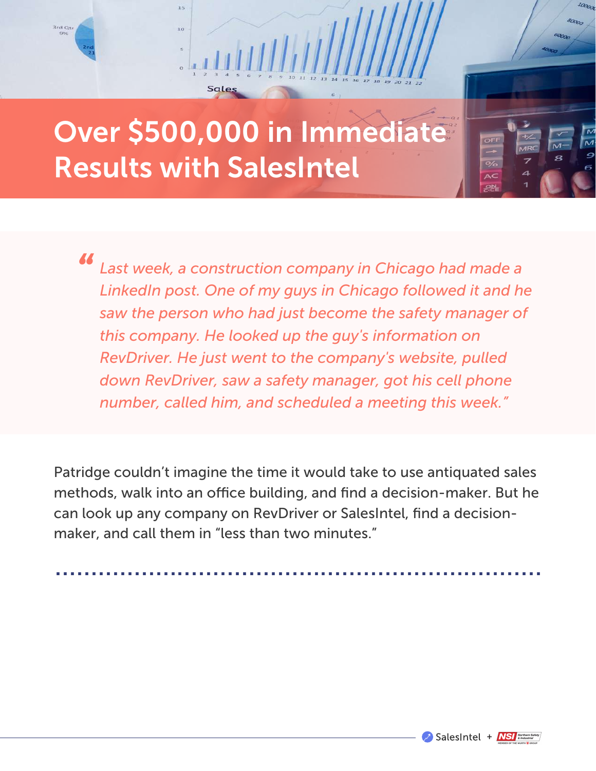## Over \$500,000 in Immediate Results with SalesIntel

Sale

 $10$ 

3rd Qt

*Last week, a construction company in Chicago had made a LinkedIn post. One of my guys in Chicago followed it and he saw the person who had just become the safety manager of this company. He looked up the guy's information on RevDriver. He just went to the company's website, pulled down RevDriver, saw a safety manager, got his cell phone number, called him, and scheduled a meeting this week." "*

Patridge couldn't imagine the time it would take to use antiquated sales methods, walk into an office building, and find a decision-maker. But he can look up any company on RevDriver or SalesIntel, find a decisionmaker, and call them in "less than two minutes."

....................................................................



 $O<sub>21</sub>$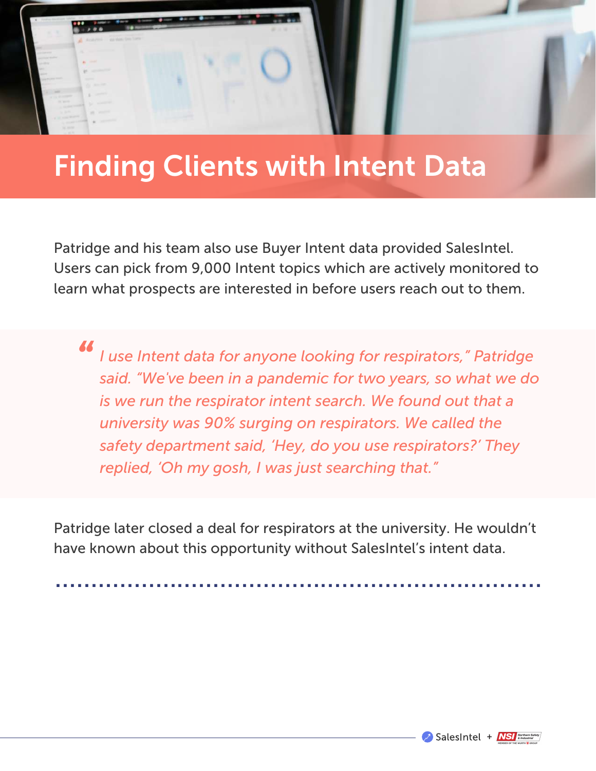#### Finding Clients with Intent Data

Patridge and his team also use Buyer Intent data provided SalesIntel. Users can pick from 9,000 Intent topics which are actively monitored to learn what prospects are interested in before users reach out to them.

*I use Intent data for anyone looking for respirators," Patridge said. "We've been in a pandemic for two years, so what we do is we run the respirator intent search. We found out that a university was 90% surging on respirators. We called the safety department said, 'Hey, do you use respirators?' They replied, 'Oh my gosh, I was just searching that." "*

Patridge later closed a deal for respirators at the university. He wouldn't have known about this opportunity without SalesIntel's intent data.

....................................................................

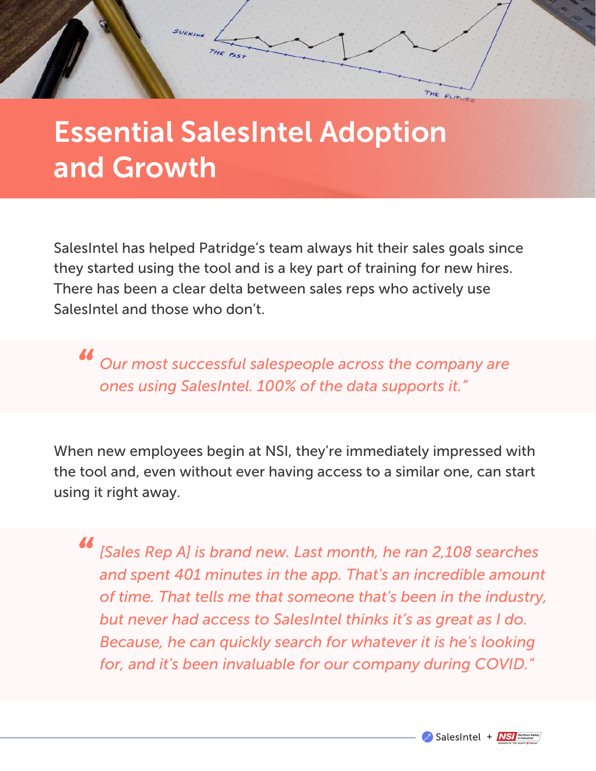

#### Essential SalesIntel Adoption and Growth

SalesIntel has helped Patridge's team always hit their sales goals since they started using the tool and is a key part of training for new hires. There has been a clear delta between sales reps who actively use SalesIntel and those who don't.

*Our most successful salespeople across the company are ones using SalesIntel. 100% of the data supports it." "*

When new employees begin at NSI, they're immediately impressed with the tool and, even without ever having access to a similar one, can start using it right away.

*[Sales Rep A] is brand new. Last month, he ran 2,108 searches and spent 401 minutes in the app. That's an incredible amount of time. That tells me that someone that's been in the industry, but never had access to SalesIntel thinks it's as great as I do. Because, he can quickly search for whatever it is he's looking for, and it's been invaluable for our company during COVID." "*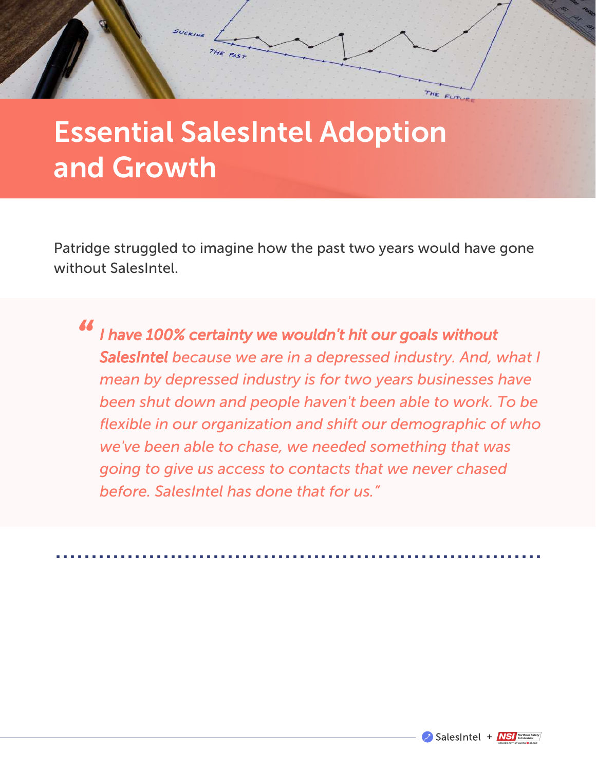

#### Essential SalesIntel Adoption and Growth

Patridge struggled to imagine how the past two years would have gone without SalesIntel.

*I have 100% certainty we wouldn't hit our goals without SalesIntel because we are in a depressed industry. And, what I mean by depressed industry is for two years businesses have been shut down and people haven't been able to work. To be flexible in our organization and shift our demographic of who we've been able to chase, we needed something that was going to give us access to contacts that we never chased before. SalesIntel has done that for us." "*

....................................................................

SalesIntel + NSI & Industrial